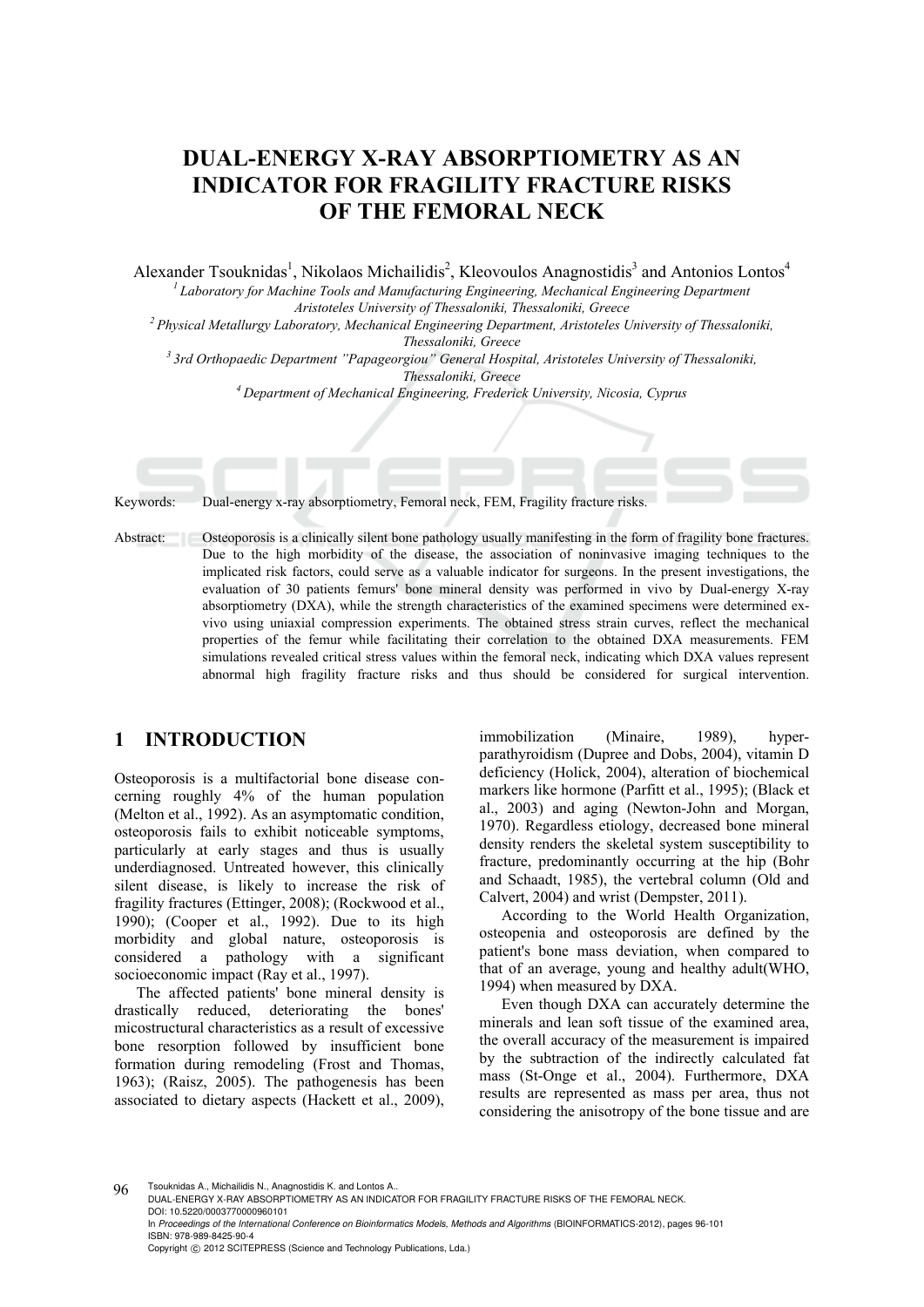# **DUAL-ENERGY X-RAY ABSORPTIOMETRY AS AN INDICATOR FOR FRAGILITY FRACTURE RISKS OF THE FEMORAL NECK**

Alexander Tsouknidas<sup>1</sup>, Nikolaos Michailidis<sup>2</sup>, Kleovoulos Anagnostidis<sup>3</sup> and Antonios Lontos<sup>4</sup> *1 Laboratory for Machine Tools and Manufacturing Engineering, Mechanical Engineering Department* 

*Aristoteles University of Thessaloniki, Thessaloniki, Greece 2 Physical Metallurgy Laboratory, Mechanical Engineering Department, Aristoteles University of Thessaloniki,* 

*Thessaloniki, Greece*<br><sup>3</sup> 3rd Orthopaedic Department "Papageorgiou" General Hospital, Aristoteles University of Thessaloniki, *Thessaloniki, Greece 4 Department of Mechanical Engineering, Frederick University, Nicosia, Cyprus* 

Keywords: Dual-energy x-ray absorptiometry, Femoral neck, FEM, Fragility fracture risks.

Abstract: Osteoporosis is a clinically silent bone pathology usually manifesting in the form of fragility bone fractures. Due to the high morbidity of the disease, the association of noninvasive imaging techniques to the implicated risk factors, could serve as a valuable indicator for surgeons. In the present investigations, the evaluation of 30 patients femurs' bone mineral density was performed in vivo by Dual-energy X-ray absorptiometry (DXA), while the strength characteristics of the examined specimens were determined exvivo using uniaxial compression experiments. The obtained stress strain curves, reflect the mechanical properties of the femur while facilitating their correlation to the obtained DXA measurements. FEM simulations revealed critical stress values within the femoral neck, indicating which DXA values represent abnormal high fragility fracture risks and thus should be considered for surgical intervention.

## **1 INTRODUCTION**

Osteoporosis is a multifactorial bone disease concerning roughly 4% of the human population (Melton et al., 1992). As an asymptomatic condition, osteoporosis fails to exhibit noticeable symptoms, particularly at early stages and thus is usually underdiagnosed. Untreated however, this clinically silent disease, is likely to increase the risk of fragility fractures (Ettinger, 2008); (Rockwood et al., 1990); (Cooper et al., 1992). Due to its high morbidity and global nature, osteoporosis is considered a pathology with a significant socioeconomic impact (Ray et al., 1997).

The affected patients' bone mineral density is drastically reduced, deteriorating the bones' micostructural characteristics as a result of excessive bone resorption followed by insufficient bone formation during remodeling (Frost and Thomas, 1963); (Raisz, 2005). The pathogenesis has been associated to dietary aspects (Hackett et al., 2009),

immobilization (Minaire, 1989), hyperparathyroidism (Dupree and Dobs, 2004), vitamin D deficiency (Holick, 2004), alteration of biochemical markers like hormone (Parfitt et al., 1995); (Black et al., 2003) and aging (Newton-John and Morgan, 1970). Regardless etiology, decreased bone mineral density renders the skeletal system susceptibility to fracture, predominantly occurring at the hip (Bohr and Schaadt, 1985), the vertebral column (Old and Calvert, 2004) and wrist (Dempster, 2011).

According to the World Health Organization, osteopenia and osteoporosis are defined by the patient's bone mass deviation, when compared to that of an average, young and healthy adult(WHO, 1994) when measured by DXA.

Even though DXA can accurately determine the minerals and lean soft tissue of the examined area, the overall accuracy of the measurement is impaired by the subtraction of the indirectly calculated fat mass (St-Onge et al., 2004). Furthermore, DXA results are represented as mass per area, thus not considering the anisotropy of the bone tissue and are

96 Tsouknidas A., Michailidis N., Anagnostidis K. and Lontos A.. DUAL-ENERGY X-RAY ABSORPTIOMETRY AS AN INDICATOR FOR FRAGILITY FRACTURE RISKS OF THE FEMORAL NECK. DOI: 10.5220/0003770000960101

In *Proceedings of the International Conference on Bioinformatics Models, Methods and Algorithms* (BIOINFORMATICS-2012), pages 96-101 ISBN: 978-989-8425-90-4

Copyright © 2012 SCITEPRESS (Science and Technology Publications, Lda.)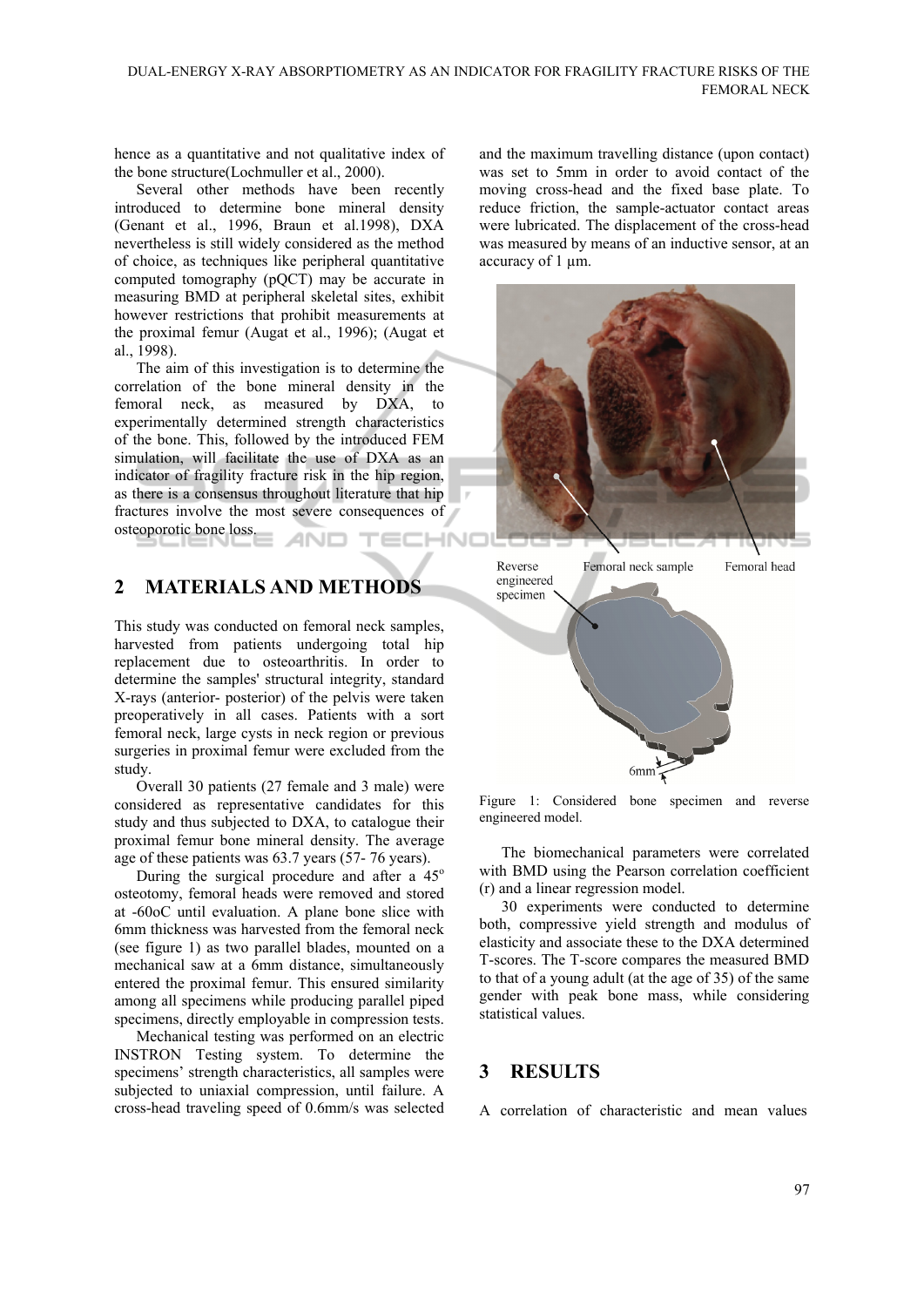hence as a quantitative and not qualitative index of the bone structure(Lochmuller et al., 2000).

Several other methods have been recently introduced to determine bone mineral density (Genant et al., 1996, Braun et al.1998), DXA nevertheless is still widely considered as the method of choice, as techniques like peripheral quantitative computed tomography (pQCT) may be accurate in measuring BMD at peripheral skeletal sites, exhibit however restrictions that prohibit measurements at the proximal femur (Augat et al., 1996); (Augat et al., 1998).

The aim of this investigation is to determine the correlation of the bone mineral density in the femoral neck, as measured by DXA, to experimentally determined strength characteristics of the bone. This, followed by the introduced FEM simulation, will facilitate the use of DXA as an indicator of fragility fracture risk in the hip region, as there is a consensus throughout literature that hip fractures involve the most severe consequences of osteoporotic bone loss. INIC

## **2 MATERIALS AND METHODS**

This study was conducted on femoral neck samples, harvested from patients undergoing total hip replacement due to osteoarthritis. In order to determine the samples' structural integrity, standard X-rays (anterior- posterior) of the pelvis were taken preoperatively in all cases. Patients with a sort femoral neck, large cysts in neck region or previous surgeries in proximal femur were excluded from the study.

Overall 30 patients (27 female and 3 male) were considered as representative candidates for this study and thus subjected to DXA, to catalogue their proximal femur bone mineral density. The average age of these patients was 63.7 years (57- 76 years).

During the surgical procedure and after a  $45^\circ$ osteotomy, femoral heads were removed and stored at -60oC until evaluation. A plane bone slice with 6mm thickness was harvested from the femoral neck (see figure 1) as two parallel blades, mounted on a mechanical saw at a 6mm distance, simultaneously entered the proximal femur. This ensured similarity among all specimens while producing parallel piped specimens, directly employable in compression tests.

Mechanical testing was performed on an electric INSTRON Testing system. To determine the specimens' strength characteristics, all samples were subjected to uniaxial compression, until failure. A cross-head traveling speed of 0.6mm/s was selected

and the maximum travelling distance (upon contact) was set to 5mm in order to avoid contact of the moving cross-head and the fixed base plate. To reduce friction, the sample-actuator contact areas were lubricated. The displacement of the cross-head was measured by means of an inductive sensor, at an accuracy of 1 µm.





Figure 1: Considered bone specimen and reverse engineered model.

The biomechanical parameters were correlated with BMD using the Pearson correlation coefficient (r) and a linear regression model.

30 experiments were conducted to determine both, compressive yield strength and modulus of elasticity and associate these to the DXA determined T-scores. The T-score compares the measured BMD to that of a young adult (at the age of 35) of the same gender with peak bone mass, while considering statistical values.

## **3 RESULTS**

A correlation of characteristic and mean values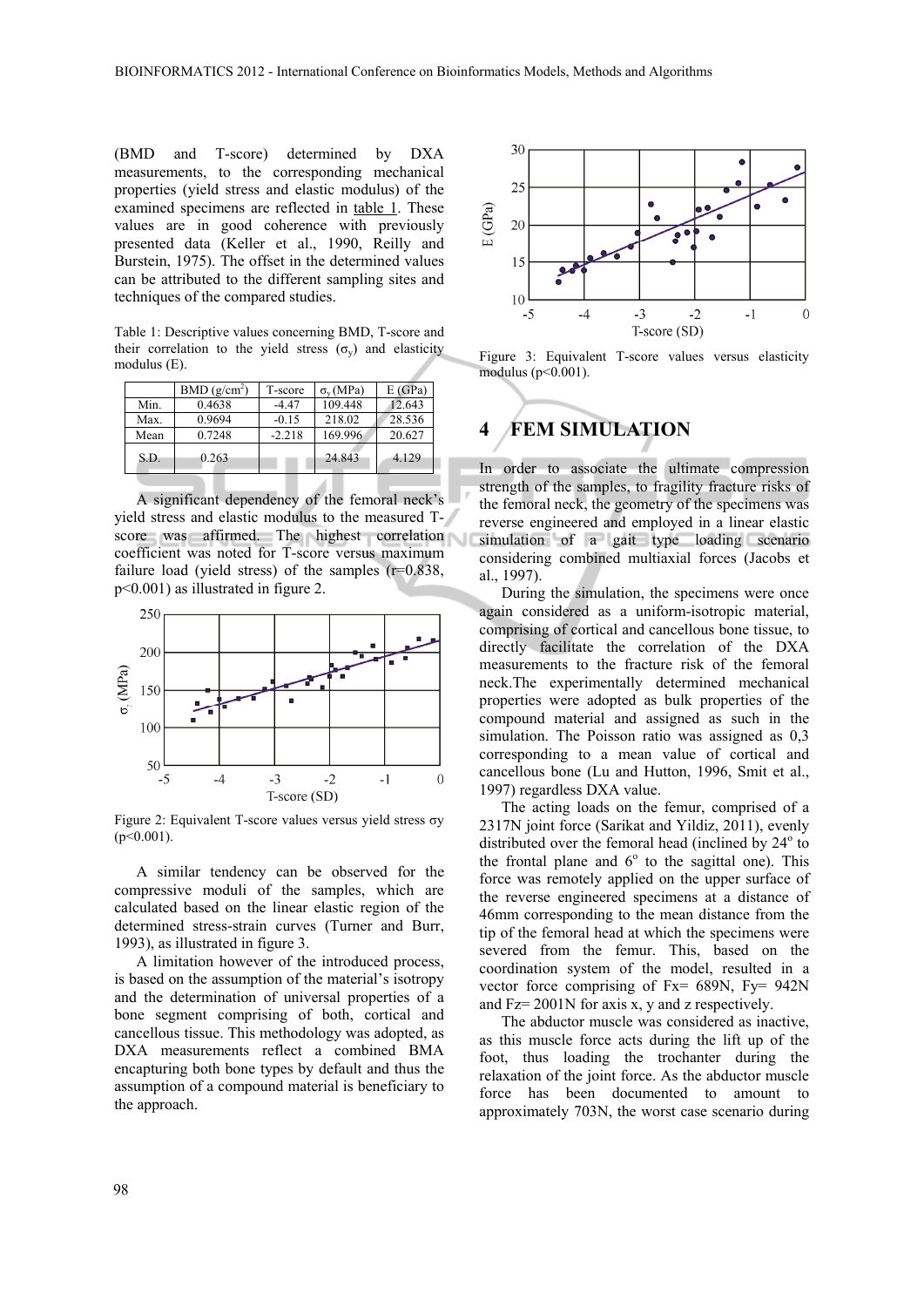(BMD and T-score) determined by DXA measurements, to the corresponding mechanical properties (yield stress and elastic modulus) of the examined specimens are reflected in table 1. These values are in good coherence with previously presented data (Keller et al., 1990, Reilly and Burstein, 1975). The offset in the determined values can be attributed to the different sampling sites and techniques of the compared studies.

Table 1: Descriptive values concerning BMD, T-score and their correlation to the yield stress  $(\sigma_v)$  and elasticity modulus (E).

|      | BMD(g/cm <sup>2</sup> ) | T-score  | $\sigma_{v}$ (MPa) | E(GPa) |
|------|-------------------------|----------|--------------------|--------|
| Min. | 0.4638                  | $-4.47$  | 109.448            | 12.643 |
| Max. | 0.9694                  | $-0.15$  | 218.02             | 28.536 |
| Mean | 0.7248                  | $-2.218$ | 169.996            | 20.627 |
| S.D. | 0.263                   |          | 24.843             | 4.129  |

A significant dependency of the femoral neck's yield stress and elastic modulus to the measured Tscore was affirmed. The highest correlation coefficient was noted for T-score versus maximum failure load (yield stress) of the samples  $(r=0.838)$ , p<0.001) as illustrated in figure 2.



Figure 2: Equivalent T-score values versus yield stress σy  $(p<0.001)$ .

A similar tendency can be observed for the compressive moduli of the samples, which are calculated based on the linear elastic region of the determined stress-strain curves (Turner and Burr, 1993), as illustrated in figure 3.

A limitation however of the introduced process, is based on the assumption of the material's isotropy and the determination of universal properties of a bone segment comprising of both, cortical and cancellous tissue. This methodology was adopted, as DXA measurements reflect a combined BMA encapturing both bone types by default and thus the assumption of a compound material is beneficiary to the approach.



Figure 3: Equivalent T-score values versus elasticity modulus (p<0.001).

# **4 FEM SIMULATION**

In order to associate the ultimate compression strength of the samples, to fragility fracture risks of the femoral neck, the geometry of the specimens was reverse engineered and employed in a linear elastic simulation of a gait type loading scenario considering combined multiaxial forces (Jacobs et al., 1997).

During the simulation, the specimens were once again considered as a uniform-isotropic material, comprising of cortical and cancellous bone tissue, to directly facilitate the correlation of the DXA measurements to the fracture risk of the femoral neck.The experimentally determined mechanical properties were adopted as bulk properties of the compound material and assigned as such in the simulation. The Poisson ratio was assigned as 0,3 corresponding to a mean value of cortical and cancellous bone (Lu and Hutton, 1996, Smit et al., 1997) regardless DXA value.

The acting loads on the femur, comprised of a 2317N joint force (Sarikat and Yildiz, 2011), evenly distributed over the femoral head (inclined by 24° to the frontal plane and  $6^{\circ}$  to the sagittal one). This force was remotely applied on the upper surface of the reverse engineered specimens at a distance of 46mm corresponding to the mean distance from the tip of the femoral head at which the specimens were severed from the femur. This, based on the coordination system of the model, resulted in a vector force comprising of Fx= 689N, Fy= 942N and Fz= 2001N for axis x, y and z respectively.

The abductor muscle was considered as inactive, as this muscle force acts during the lift up of the foot, thus loading the trochanter during the relaxation of the joint force. As the abductor muscle force has been documented to amount to approximately 703N, the worst case scenario during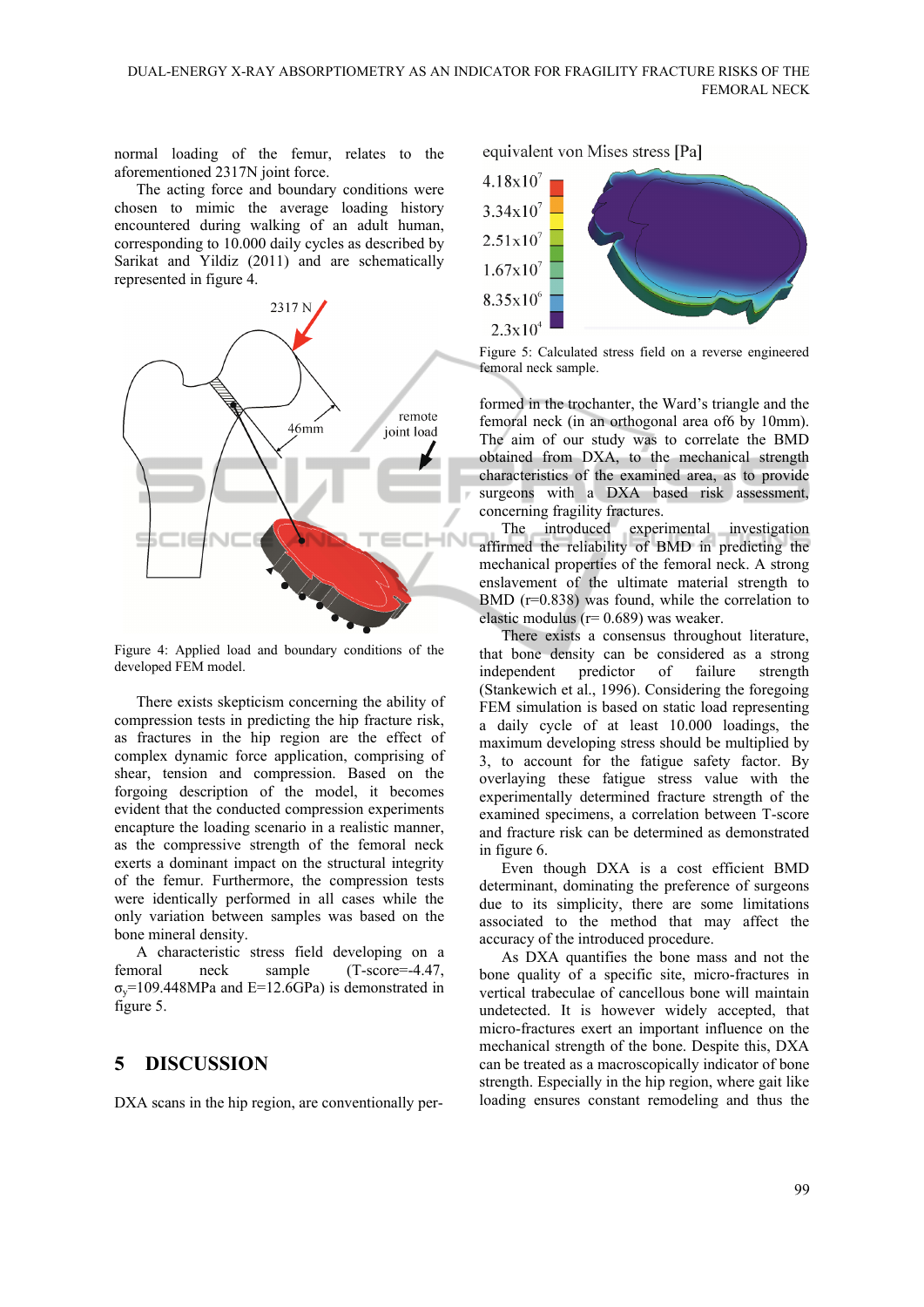normal loading of the femur, relates to the aforementioned 2317N joint force.

The acting force and boundary conditions were chosen to mimic the average loading history encountered during walking of an adult human, corresponding to 10.000 daily cycles as described by Sarikat and Yildiz (2011) and are schematically represented in figure 4.



Figure 4: Applied load and boundary conditions of the developed FEM model.

There exists skepticism concerning the ability of compression tests in predicting the hip fracture risk, as fractures in the hip region are the effect of complex dynamic force application, comprising of shear, tension and compression. Based on the forgoing description of the model, it becomes evident that the conducted compression experiments encapture the loading scenario in a realistic manner, as the compressive strength of the femoral neck exerts a dominant impact on the structural integrity of the femur. Furthermore, the compression tests were identically performed in all cases while the only variation between samples was based on the bone mineral density.

A characteristic stress field developing on a femoral neck sample (T-score=-4.47,  $\sigma_{\rm v}$ =109.448MPa and E=12.6GPa) is demonstrated in figure 5.

### **5 DISCUSSION**

DXA scans in the hip region, are conventionally per-

equivalent von Mises stress [Pa]



Figure 5: Calculated stress field on a reverse engineered femoral neck sample.

formed in the trochanter, the Ward's triangle and the femoral neck (in an orthogonal area of6 by 10mm). The aim of our study was to correlate the BMD obtained from DXA, to the mechanical strength characteristics of the examined area, as to provide surgeons with a DXA based risk assessment, concerning fragility fractures.

The introduced experimental investigation affirmed the reliability of BMD in predicting the mechanical properties of the femoral neck. A strong enslavement of the ultimate material strength to BMD (r=0.838) was found, while the correlation to elastic modulus (r= 0.689) was weaker.

There exists a consensus throughout literature, that bone density can be considered as a strong independent predictor of failure strength (Stankewich et al., 1996). Considering the foregoing FEM simulation is based on static load representing a daily cycle of at least 10.000 loadings, the maximum developing stress should be multiplied by 3, to account for the fatigue safety factor. By overlaying these fatigue stress value with the experimentally determined fracture strength of the examined specimens, a correlation between T-score and fracture risk can be determined as demonstrated in figure 6.

Even though DXA is a cost efficient BMD determinant, dominating the preference of surgeons due to its simplicity, there are some limitations associated to the method that may affect the accuracy of the introduced procedure.

As DXA quantifies the bone mass and not the bone quality of a specific site, micro-fractures in vertical trabeculae of cancellous bone will maintain undetected. It is however widely accepted, that micro-fractures exert an important influence on the mechanical strength of the bone. Despite this, DXA can be treated as a macroscopically indicator of bone strength. Especially in the hip region, where gait like loading ensures constant remodeling and thus the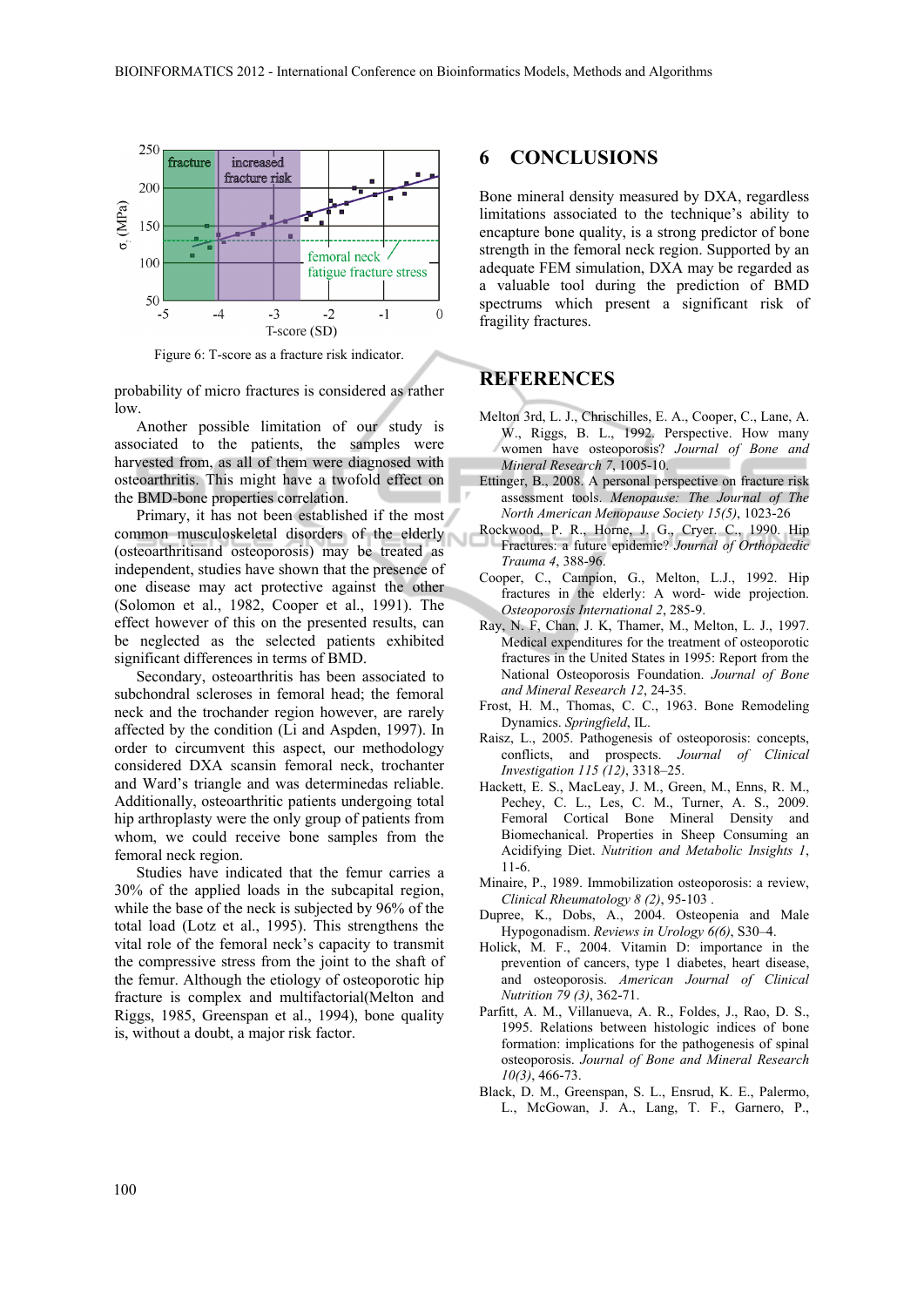

Figure 6: T-score as a fracture risk indicator.

probability of micro fractures is considered as rather low.

Another possible limitation of our study is associated to the patients, the samples were harvested from, as all of them were diagnosed with osteoarthritis. This might have a twofold effect on the BMD-bone properties correlation.

Primary, it has not been established if the most common musculoskeletal disorders of the elderly (osteoarthritisand osteoporosis) may be treated as independent, studies have shown that the presence of one disease may act protective against the other (Solomon et al., 1982, Cooper et al., 1991). The effect however of this on the presented results, can be neglected as the selected patients exhibited significant differences in terms of BMD.

Secondary, osteoarthritis has been associated to subchondral scleroses in femoral head; the femoral neck and the trochander region however, are rarely affected by the condition (Li and Aspden, 1997). In order to circumvent this aspect, our methodology considered DXA scansin femoral neck, trochanter and Ward's triangle and was determinedas reliable. Additionally, osteoarthritic patients undergoing total hip arthroplasty were the only group of patients from whom, we could receive bone samples from the femoral neck region.

Studies have indicated that the femur carries a 30% of the applied loads in the subcapital region, while the base of the neck is subjected by 96% of the total load (Lotz et al., 1995). This strengthens the vital role of the femoral neck's capacity to transmit the compressive stress from the joint to the shaft of the femur. Although the etiology of osteoporotic hip fracture is complex and multifactorial(Melton and Riggs, 1985, Greenspan et al., 1994), bone quality is, without a doubt, a major risk factor.

#### **6 CONCLUSIONS**

Bone mineral density measured by DXA, regardless limitations associated to the technique's ability to encapture bone quality, is a strong predictor of bone strength in the femoral neck region. Supported by an adequate FEM simulation, DXA may be regarded as a valuable tool during the prediction of BMD spectrums which present a significant risk of fragility fractures.

#### **REFERENCES**

- Melton 3rd, L. J., Chrischilles, E. A., Cooper, C., Lane, A. W., Riggs, B. L., 1992. Perspective. How many women have osteoporosis? *Journal of Bone and Mineral Research 7*, 1005-10.
- Ettinger, B., 2008. A personal perspective on fracture risk assessment tools. *Menopause: The Journal of The North American Menopause Society 15(5)*, 1023-26
- Rockwood, P. R., Horne, J. G., Cryer. C., 1990. Hip Fractures: a future epidemic? *Journal of Orthopaedic Trauma 4*, 388-96.
- Cooper, C., Campion, G., Melton, L.J., 1992. Hip fractures in the elderly: A word- wide projection. *Osteoporosis International 2*, 285-9.
- Ray, N. F, Chan, J. K, Thamer, M., Melton, L. J., 1997. Medical expenditures for the treatment of osteoporotic fractures in the United States in 1995: Report from the National Osteoporosis Foundation. *Journal of Bone and Mineral Research 12*, 24-35.
- Frost, H. M., Thomas, C. C., 1963. Bone Remodeling Dynamics. *Springfield*, IL.
- Raisz, L., 2005. Pathogenesis of osteoporosis: concepts, conflicts, and prospects. *Journal of Clinical Investigation 115 (12)*, 3318–25.
- Hackett, E. S., MacLeay, J. M., Green, M., Enns, R. M., Pechey, C. L., Les, C. M., Turner, A. S., 2009. Femoral Cortical Bone Mineral Density and Biomechanical. Properties in Sheep Consuming an Acidifying Diet. *Nutrition and Metabolic Insights 1*, 11-6.
- Minaire, P., 1989. Immobilization osteoporosis: a review, *Clinical Rheumatology 8 (2)*, 95-103 .
- Dupree, K., Dobs, A., 2004. Osteopenia and Male Hypogonadism. *Reviews in Urology 6(6)*, S30–4.
- Holick, M. F., 2004. Vitamin D: importance in the prevention of cancers, type 1 diabetes, heart disease, and osteoporosis. *American Journal of Clinical Nutrition 79 (3)*, 362-71.
- Parfitt, A. M., Villanueva, A. R., Foldes, J., Rao, D. S., 1995. Relations between histologic indices of bone formation: implications for the pathogenesis of spinal osteoporosis. *Journal of Bone and Mineral Research 10(3)*, 466-73.
- Black, D. M., Greenspan, S. L., Ensrud, K. E., Palermo, L., McGowan, J. A., Lang, T. F., Garnero, P.,